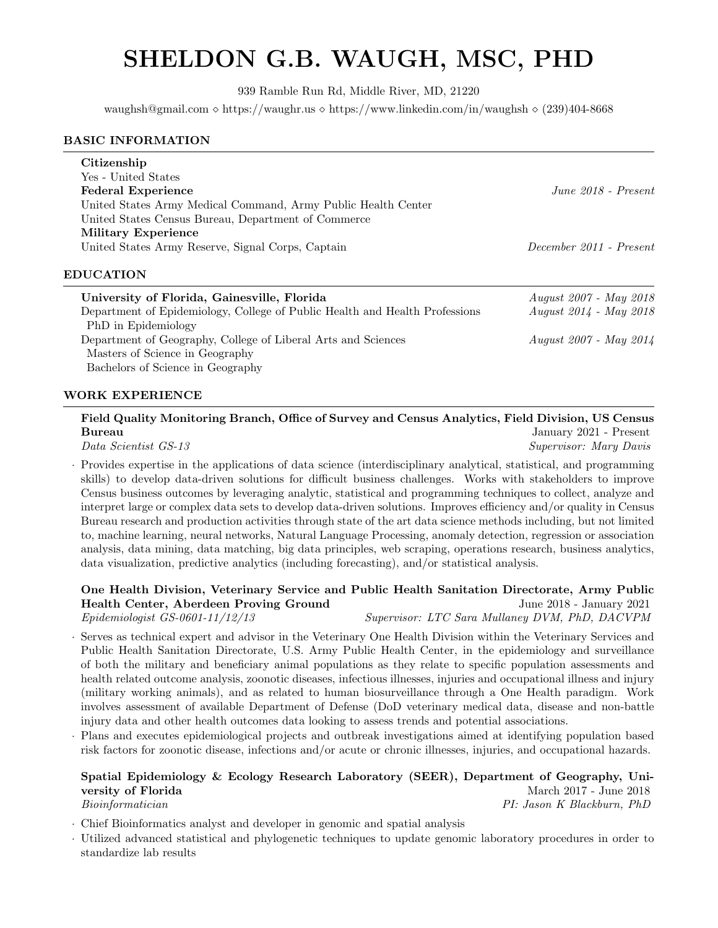# SHELDON G.B. WAUGH, MSC, PHD

939 Ramble Run Rd, Middle River, MD, 21220

waughsh@gmail.com  $\Diamond$  https://waughr.us  $\Diamond$  https://www.linkedin.com/in/waughsh  $\Diamond$  (239)404-8668

### BASIC INFORMATION

| Citizenship<br>Yes - United States<br><b>Federal Experience</b><br>United States Army Medical Command, Army Public Health Center<br>United States Census Bureau, Department of Commerce | $June 2018 - Present$   |
|-----------------------------------------------------------------------------------------------------------------------------------------------------------------------------------------|-------------------------|
| <b>Military Experience</b><br>United States Army Reserve, Signal Corps, Captain                                                                                                         | December 2011 - Present |

### EDUCATION

| University of Florida, Gainesville, Florida                                 | <i>August 2007 - May 2018</i> |
|-----------------------------------------------------------------------------|-------------------------------|
| Department of Epidemiology, College of Public Health and Health Professions | <i>August 2014 - May 2018</i> |
| PhD in Epidemiology                                                         |                               |
| Department of Geography, College of Liberal Arts and Sciences               | <i>August 2007 - May 2014</i> |
| Masters of Science in Geography                                             |                               |
| Bachelors of Science in Geography                                           |                               |

# WORK EXPERIENCE

# Field Quality Monitoring Branch, Office of Survey and Census Analytics, Field Division, US Census Bureau January 2021 - Present

Data Scientist GS-13 Supervisor: Mary Davis

· Provides expertise in the applications of data science (interdisciplinary analytical, statistical, and programming skills) to develop data-driven solutions for difficult business challenges. Works with stakeholders to improve Census business outcomes by leveraging analytic, statistical and programming techniques to collect, analyze and interpret large or complex data sets to develop data-driven solutions. Improves efficiency and/or quality in Census Bureau research and production activities through state of the art data science methods including, but not limited to, machine learning, neural networks, Natural Language Processing, anomaly detection, regression or association analysis, data mining, data matching, big data principles, web scraping, operations research, business analytics, data visualization, predictive analytics (including forecasting), and/or statistical analysis.

# One Health Division, Veterinary Service and Public Health Sanitation Directorate, Army Public Health Center, Aberdeen Proving Ground June 2018 - January 2021

Epidemiologist GS-0601-11/12/13 Supervisor: LTC Sara Mullaney DVM, PhD, DACVPM

· Serves as technical expert and advisor in the Veterinary One Health Division within the Veterinary Services and Public Health Sanitation Directorate, U.S. Army Public Health Center, in the epidemiology and surveillance of both the military and beneficiary animal populations as they relate to specific population assessments and health related outcome analysis, zoonotic diseases, infectious illnesses, injuries and occupational illness and injury (military working animals), and as related to human biosurveillance through a One Health paradigm. Work involves assessment of available Department of Defense (DoD veterinary medical data, disease and non-battle injury data and other health outcomes data looking to assess trends and potential associations.

· Plans and executes epidemiological projects and outbreak investigations aimed at identifying population based risk factors for zoonotic disease, infections and/or acute or chronic illnesses, injuries, and occupational hazards.

### Spatial Epidemiology & Ecology Research Laboratory (SEER), Department of Geography, University of Florida March 2017 - June 2018 Bioinformatician PI: Jason K Blackburn, PhD

· Chief Bioinformatics analyst and developer in genomic and spatial analysis

· Utilized advanced statistical and phylogenetic techniques to update genomic laboratory procedures in order to standardize lab results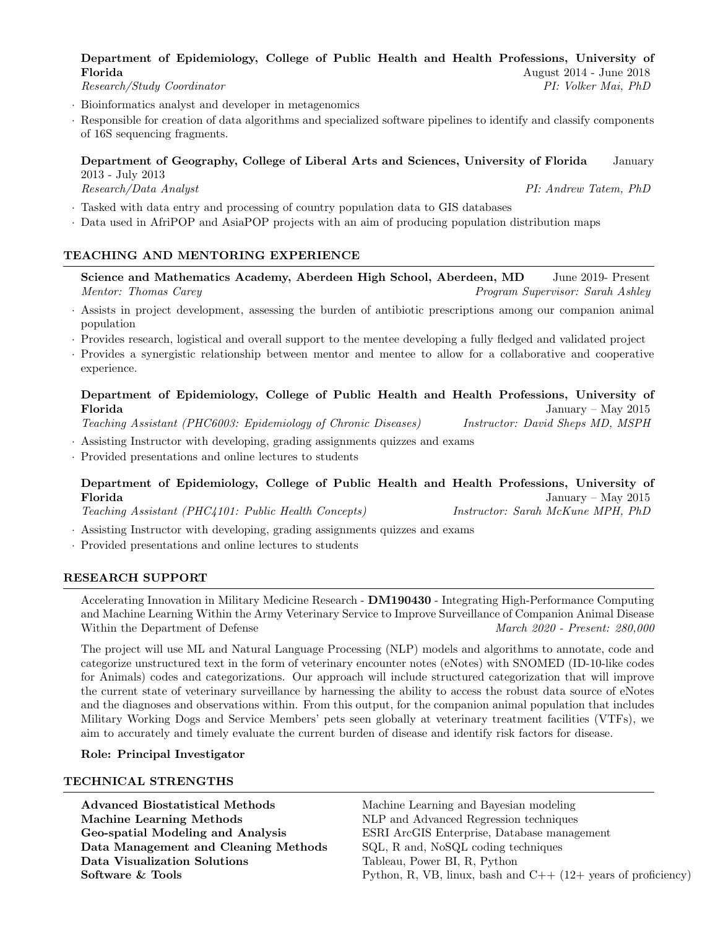# Department of Epidemiology, College of Public Health and Health Professions, University of Florida August 2014 - June 2018

Research/Study Coordinator PI: Volker Mai, PhD

- · Bioinformatics analyst and developer in metagenomics
- Responsible for creation of data algorithms and specialized software pipelines to identify and classify components of 16S sequencing fragments.

### Department of Geography, College of Liberal Arts and Sciences, University of Florida January 2013 - July 2013 Research/Data Analyst PI: Andrew Tatem, PhD

- · Tasked with data entry and processing of country population data to GIS databases
- · Data used in AfriPOP and AsiaPOP projects with an aim of producing population distribution maps

# TEACHING AND MENTORING EXPERIENCE

Science and Mathematics Academy, Aberdeen High School, Aberdeen, MD June 2019- Present Mentor: Thomas Carey Program Supervisor: Sarah Ashley

- · Assists in project development, assessing the burden of antibiotic prescriptions among our companion animal population
- · Provides research, logistical and overall support to the mentee developing a fully fledged and validated project
- · Provides a synergistic relationship between mentor and mentee to allow for a collaborative and cooperative experience.

# Department of Epidemiology, College of Public Health and Health Professions, University of Florida January – May 2015

Teaching Assistant (PHC6003: Epidemiology of Chronic Diseases) Instructor: David Sheps MD, MSPH

· Assisting Instructor with developing, grading assignments quizzes and exams

· Provided presentations and online lectures to students

# Department of Epidemiology, College of Public Health and Health Professions, University of January – May  $2015$

Teaching Assistant (PHC4101: Public Health Concepts) Instructor: Sarah McKune MPH, PhD

- · Assisting Instructor with developing, grading assignments quizzes and exams
- · Provided presentations and online lectures to students

# RESEARCH SUPPORT

Accelerating Innovation in Military Medicine Research - DM190430 - Integrating High-Performance Computing and Machine Learning Within the Army Veterinary Service to Improve Surveillance of Companion Animal Disease Within the Department of Defense March 2020 - Present: 280,000

The project will use ML and Natural Language Processing (NLP) models and algorithms to annotate, code and categorize unstructured text in the form of veterinary encounter notes (eNotes) with SNOMED (ID-10-like codes for Animals) codes and categorizations. Our approach will include structured categorization that will improve the current state of veterinary surveillance by harnessing the ability to access the robust data source of eNotes and the diagnoses and observations within. From this output, for the companion animal population that includes Military Working Dogs and Service Members' pets seen globally at veterinary treatment facilities (VTFs), we aim to accurately and timely evaluate the current burden of disease and identify risk factors for disease.

Role: Principal Investigator

# TECHNICAL STRENGTHS

Advanced Biostatistical Methods Machine Learning and Bayesian modeling Machine Learning Methods NLP and Advanced Regression techniques Data Management and Cleaning Methods SQL, R and, NoSQL coding techniques Data Visualization Solutions Tableau, Power BI, R, Python

Geo-spatial Modeling and Analysis ESRI ArcGIS Enterprise, Database management Software & Tools Python, R, VB, linux, bash and C++ (12+ years of proficiency)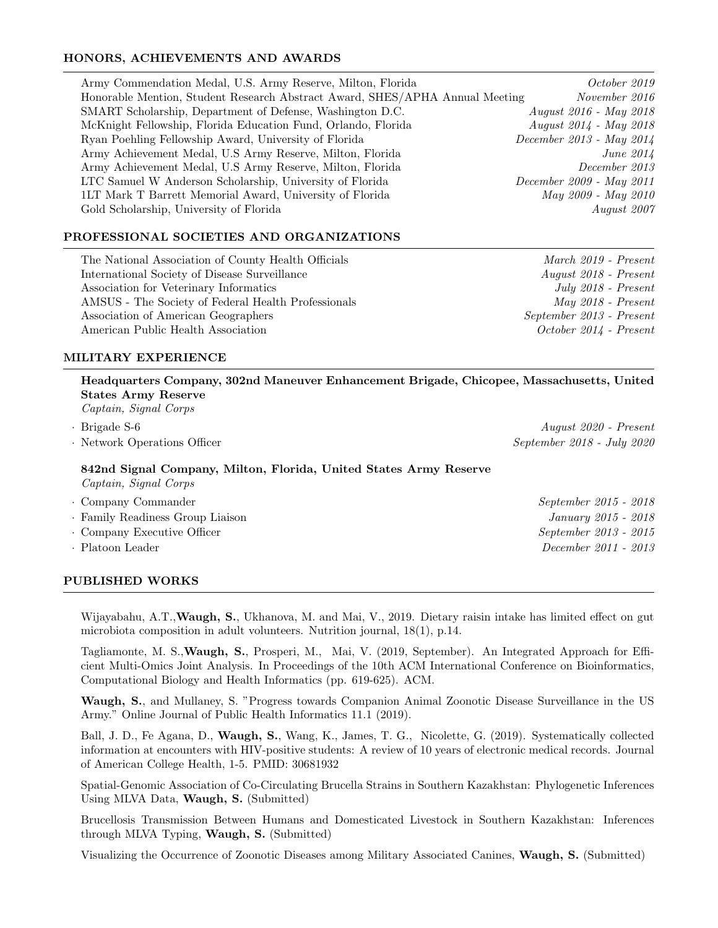# HONORS, ACHIEVEMENTS AND AWARDS

| Army Commendation Medal, U.S. Army Reserve, Milton, Florida                  | October 2019             |
|------------------------------------------------------------------------------|--------------------------|
| Honorable Mention, Student Research Abstract Award, SHES/APHA Annual Meeting | November 2016            |
| SMART Scholarship, Department of Defense, Washington D.C.                    | August 2016 - May 2018   |
| McKnight Fellowship, Florida Education Fund, Orlando, Florida                | August 2014 - May 2018   |
| Ryan Poehling Fellowship Award, University of Florida                        | December 2013 - May 2014 |
| Army Achievement Medal, U.S Army Reserve, Milton, Florida                    | June $2014$              |
| Army Achievement Medal, U.S Army Reserve, Milton, Florida                    | December 2013            |
| LTC Samuel W Anderson Scholarship, University of Florida                     | December 2009 - May 2011 |
| 1LT Mark T Barrett Memorial Award, University of Florida                     | May 2009 - May 2010      |
| Gold Scholarship, University of Florida                                      | August 2007              |

# PROFESSIONAL SOCIETIES AND ORGANIZATIONS

The National Association of County Health Officials March 2019 - Present International Society of Disease Surveillance August 2018 - Present Association for Veterinary Informatics  $July 2018$  - Present AMSUS - The Society of Federal Health Professionals May 2018 - Present Association of American Geographers September 2013 - Present American Public Health Association **Containers Containers** *October 2014 - Present* 

# MILITARY EXPERIENCE

# Headquarters Company, 302nd Maneuver Enhancement Brigade, Chicopee, Massachusetts, United States Army Reserve Captain, Signal Corps · Brigade S-6 August 2020 - Present • Network Operations Officer September 2018 - July 2020 842nd Signal Company, Milton, Florida, United States Army Reserve Captain, Signal Corps • Company Commander September 2015 - 2018

| · Family Readiness Group Liaison | January 2015 - 2018   |
|----------------------------------|-----------------------|
| • Company Executive Officer      | September 2013 - 2015 |
| · Platoon Leader                 | December 2011 - 2013  |
|                                  |                       |

# PUBLISHED WORKS

Wijayabahu, A.T., Waugh, S., Ukhanova, M. and Mai, V., 2019. Dietary raisin intake has limited effect on gut microbiota composition in adult volunteers. Nutrition journal, 18(1), p.14.

Tagliamonte, M. S.,Waugh, S., Prosperi, M., Mai, V. (2019, September). An Integrated Approach for Efficient Multi-Omics Joint Analysis. In Proceedings of the 10th ACM International Conference on Bioinformatics, Computational Biology and Health Informatics (pp. 619-625). ACM.

Waugh, S., and Mullaney, S. "Progress towards Companion Animal Zoonotic Disease Surveillance in the US Army." Online Journal of Public Health Informatics 11.1 (2019).

Ball, J. D., Fe Agana, D., Waugh, S., Wang, K., James, T. G., Nicolette, G. (2019). Systematically collected information at encounters with HIV-positive students: A review of 10 years of electronic medical records. Journal of American College Health, 1-5. PMID: 30681932

Spatial-Genomic Association of Co-Circulating Brucella Strains in Southern Kazakhstan: Phylogenetic Inferences Using MLVA Data, Waugh, S. (Submitted)

Brucellosis Transmission Between Humans and Domesticated Livestock in Southern Kazakhstan: Inferences through MLVA Typing, Waugh, S. (Submitted)

Visualizing the Occurrence of Zoonotic Diseases among Military Associated Canines, Waugh, S. (Submitted)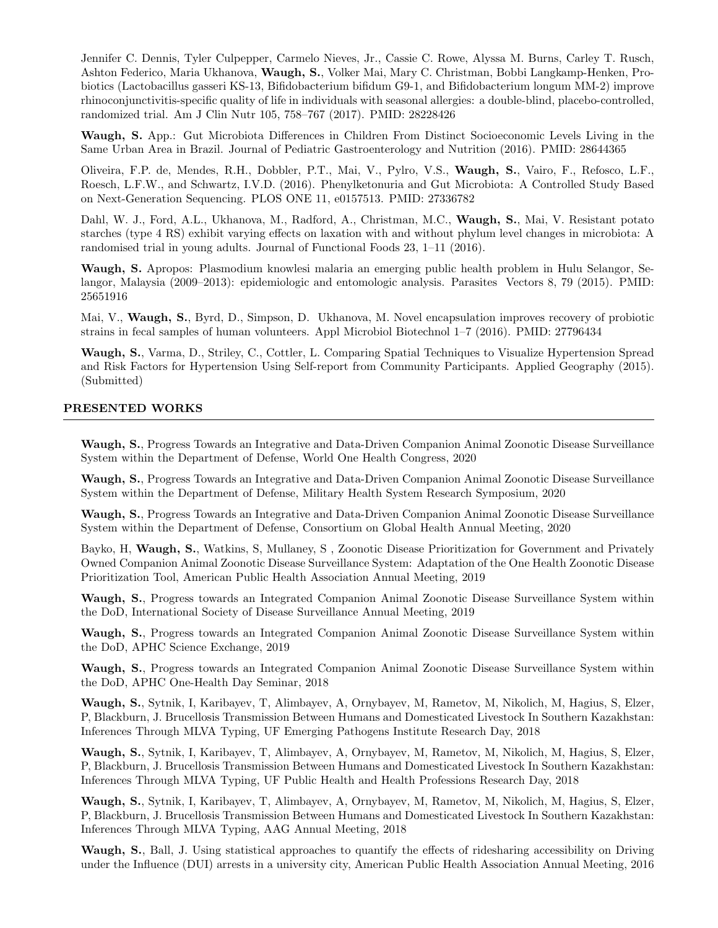Jennifer C. Dennis, Tyler Culpepper, Carmelo Nieves, Jr., Cassie C. Rowe, Alyssa M. Burns, Carley T. Rusch, Ashton Federico, Maria Ukhanova, Waugh, S., Volker Mai, Mary C. Christman, Bobbi Langkamp-Henken, Probiotics (Lactobacillus gasseri KS-13, Bifidobacterium bifidum G9-1, and Bifidobacterium longum MM-2) improve rhinoconjunctivitis-specific quality of life in individuals with seasonal allergies: a double-blind, placebo-controlled, randomized trial. Am J Clin Nutr 105, 758–767 (2017). PMID: 28228426

Waugh, S. App.: Gut Microbiota Differences in Children From Distinct Socioeconomic Levels Living in the Same Urban Area in Brazil. Journal of Pediatric Gastroenterology and Nutrition (2016). PMID: 28644365

Oliveira, F.P. de, Mendes, R.H., Dobbler, P.T., Mai, V., Pylro, V.S., Waugh, S., Vairo, F., Refosco, L.F., Roesch, L.F.W., and Schwartz, I.V.D. (2016). Phenylketonuria and Gut Microbiota: A Controlled Study Based on Next-Generation Sequencing. PLOS ONE 11, e0157513. PMID: 27336782

Dahl, W. J., Ford, A.L., Ukhanova, M., Radford, A., Christman, M.C., Waugh, S., Mai, V. Resistant potato starches (type 4 RS) exhibit varying effects on laxation with and without phylum level changes in microbiota: A randomised trial in young adults. Journal of Functional Foods 23, 1–11 (2016).

Waugh, S. Apropos: Plasmodium knowlesi malaria an emerging public health problem in Hulu Selangor, Selangor, Malaysia (2009–2013): epidemiologic and entomologic analysis. Parasites Vectors 8, 79 (2015). PMID: 25651916

Mai, V., Waugh, S., Byrd, D., Simpson, D. Ukhanova, M. Novel encapsulation improves recovery of probiotic strains in fecal samples of human volunteers. Appl Microbiol Biotechnol 1–7 (2016). PMID: 27796434

Waugh, S., Varma, D., Striley, C., Cottler, L. Comparing Spatial Techniques to Visualize Hypertension Spread and Risk Factors for Hypertension Using Self-report from Community Participants. Applied Geography (2015). (Submitted)

#### PRESENTED WORKS

Waugh, S., Progress Towards an Integrative and Data-Driven Companion Animal Zoonotic Disease Surveillance System within the Department of Defense, World One Health Congress, 2020

Waugh, S., Progress Towards an Integrative and Data-Driven Companion Animal Zoonotic Disease Surveillance System within the Department of Defense, Military Health System Research Symposium, 2020

Waugh, S., Progress Towards an Integrative and Data-Driven Companion Animal Zoonotic Disease Surveillance System within the Department of Defense, Consortium on Global Health Annual Meeting, 2020

Bayko, H, Waugh, S., Watkins, S, Mullaney, S , Zoonotic Disease Prioritization for Government and Privately Owned Companion Animal Zoonotic Disease Surveillance System: Adaptation of the One Health Zoonotic Disease Prioritization Tool, American Public Health Association Annual Meeting, 2019

Waugh, S., Progress towards an Integrated Companion Animal Zoonotic Disease Surveillance System within the DoD, International Society of Disease Surveillance Annual Meeting, 2019

Waugh, S., Progress towards an Integrated Companion Animal Zoonotic Disease Surveillance System within the DoD, APHC Science Exchange, 2019

Waugh, S., Progress towards an Integrated Companion Animal Zoonotic Disease Surveillance System within the DoD, APHC One-Health Day Seminar, 2018

Waugh, S., Sytnik, I, Karibayev, T, Alimbayev, A, Ornybayev, M, Rametov, M, Nikolich, M, Hagius, S, Elzer, P, Blackburn, J. Brucellosis Transmission Between Humans and Domesticated Livestock In Southern Kazakhstan: Inferences Through MLVA Typing, UF Emerging Pathogens Institute Research Day, 2018

Waugh, S., Sytnik, I, Karibayev, T, Alimbayev, A, Ornybayev, M, Rametov, M, Nikolich, M, Hagius, S, Elzer, P, Blackburn, J. Brucellosis Transmission Between Humans and Domesticated Livestock In Southern Kazakhstan: Inferences Through MLVA Typing, UF Public Health and Health Professions Research Day, 2018

Waugh, S., Sytnik, I, Karibayev, T, Alimbayev, A, Ornybayev, M, Rametov, M, Nikolich, M, Hagius, S, Elzer, P, Blackburn, J. Brucellosis Transmission Between Humans and Domesticated Livestock In Southern Kazakhstan: Inferences Through MLVA Typing, AAG Annual Meeting, 2018

Waugh, S., Ball, J. Using statistical approaches to quantify the effects of ridesharing accessibility on Driving under the Influence (DUI) arrests in a university city, American Public Health Association Annual Meeting, 2016